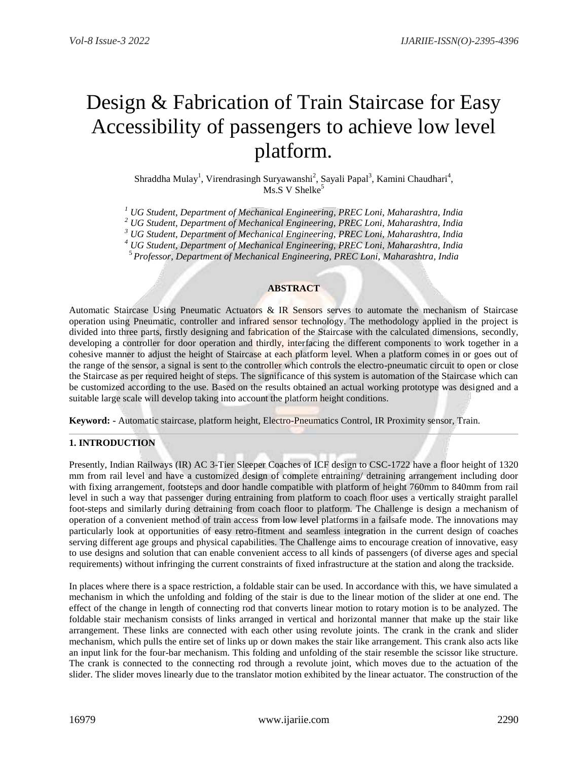# Design & Fabrication of Train Staircase for Easy Accessibility of passengers to achieve low level platform.

Shraddha Mulay<sup>1</sup>, Virendrasingh Suryawanshi<sup>2</sup>, Sayali Papal<sup>3</sup>, Kamini Chaudhari<sup>4</sup>,  $Ms.S. V. Shelke<sup>5</sup>$ 

*<sup>1</sup> UG Student, Department of Mechanical Engineering, PREC Loni, Maharashtra, India*

*<sup>2</sup> UG Student, Department of Mechanical Engineering, PREC Loni, Maharashtra, India*

*<sup>3</sup> UG Student, Department of Mechanical Engineering, PREC Loni, Maharashtra, India*

*<sup>4</sup> UG Student, Department of Mechanical Engineering, PREC Loni, Maharashtra, India*

<sup>5</sup> *Professor, Department of Mechanical Engineering, PREC Loni, Maharashtra, India*

#### **ABSTRACT**

Automatic Staircase Using Pneumatic Actuators & IR Sensors serves to automate the mechanism of Staircase operation using Pneumatic, controller and infrared sensor technology. The methodology applied in the project is divided into three parts, firstly designing and fabrication of the Staircase with the calculated dimensions, secondly, developing a controller for door operation and thirdly, interfacing the different components to work together in a cohesive manner to adjust the height of Staircase at each platform level. When a platform comes in or goes out of the range of the sensor, a signal is sent to the controller which controls the electro-pneumatic circuit to open or close the Staircase as per required height of steps. The significance of this system is automation of the Staircase which can be customized according to the use. Based on the results obtained an actual working prototype was designed and a suitable large scale will develop taking into account the platform height conditions.

**Keyword: -** Automatic staircase, platform height, Electro-Pneumatics Control, IR Proximity sensor, Train.

## **1. INTRODUCTION**

Presently, Indian Railways (IR) AC 3-Tier Sleeper Coaches of ICF design to CSC-1722 have a floor height of 1320 mm from rail level and have a customized design of complete entraining/ detraining arrangement including door with fixing arrangement, footsteps and door handle compatible with platform of height 760mm to 840mm from rail level in such a way that passenger during entraining from platform to coach floor uses a vertically straight parallel foot-steps and similarly during detraining from coach floor to platform. The Challenge is design a mechanism of operation of a convenient method of train access from low level platforms in a failsafe mode. The innovations may particularly look at opportunities of easy retro-fitment and seamless integration in the current design of coaches serving different age groups and physical capabilities. The Challenge aims to encourage creation of innovative, easy to use designs and solution that can enable convenient access to all kinds of passengers (of diverse ages and special requirements) without infringing the current constraints of fixed infrastructure at the station and along the trackside.

In places where there is a space restriction, a foldable stair can be used. In accordance with this, we have simulated a mechanism in which the unfolding and folding of the stair is due to the linear motion of the slider at one end. The effect of the change in length of connecting rod that converts linear motion to rotary motion is to be analyzed. The foldable stair mechanism consists of links arranged in vertical and horizontal manner that make up the stair like arrangement. These links are connected with each other using revolute joints. The crank in the crank and slider mechanism, which pulls the entire set of links up or down makes the stair like arrangement. This crank also acts like an input link for the four-bar mechanism. This folding and unfolding of the stair resemble the scissor like structure. The crank is connected to the connecting rod through a revolute joint, which moves due to the actuation of the slider. The slider moves linearly due to the translator motion exhibited by the linear actuator. The construction of the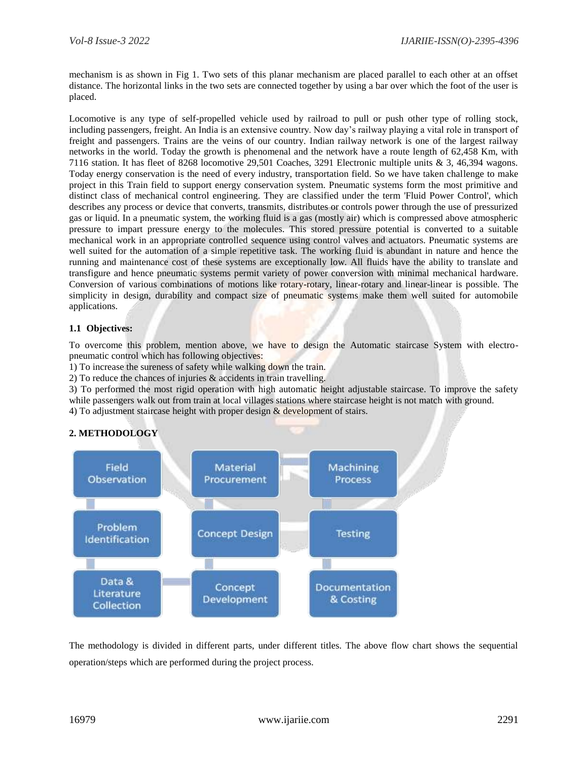mechanism is as shown in Fig 1. Two sets of this planar mechanism are placed parallel to each other at an offset distance. The horizontal links in the two sets are connected together by using a bar over which the foot of the user is placed.

Locomotive is any type of self-propelled vehicle used by railroad to pull or push other type of rolling stock, including passengers, freight. An India is an extensive country. Now day's railway playing a vital role in transport of freight and passengers. Trains are the veins of our country. Indian railway network is one of the largest railway networks in the world. Today the growth is phenomenal and the network have a route length of 62,458 Km, with 7116 station. It has fleet of 8268 locomotive 29,501 Coaches, 3291 Electronic multiple units & 3, 46,394 wagons. Today energy conservation is the need of every industry, transportation field. So we have taken challenge to make project in this Train field to support energy conservation system. Pneumatic systems form the most primitive and distinct class of mechanical control engineering. They are classified under the term 'Fluid Power Control', which describes any process or device that converts, transmits, distributes or controls power through the use of pressurized gas or liquid. In a pneumatic system, the working fluid is a gas (mostly air) which is compressed above atmospheric pressure to impart pressure energy to the molecules. This stored pressure potential is converted to a suitable mechanical work in an appropriate controlled sequence using control valves and actuators. Pneumatic systems are well suited for the automation of a simple repetitive task. The working fluid is abundant in nature and hence the running and maintenance cost of these systems are exceptionally low. All fluids have the ability to translate and transfigure and hence pneumatic systems permit variety of power conversion with minimal mechanical hardware. Conversion of various combinations of motions like rotary-rotary, linear-rotary and linear-linear is possible. The simplicity in design, durability and compact size of pneumatic systems make them well suited for automobile applications.

# **1.1 Objectives:**

To overcome this problem, mention above, we have to design the Automatic staircase System with electropneumatic control which has following objectives:

1) To increase the sureness of safety while walking down the train.

2) To reduce the chances of injuries & accidents in train travelling.

3) To performed the most rigid operation with high automatic height adjustable staircase. To improve the safety while passengers walk out from train at local villages stations where staircase height is not match with ground.

4) To adjustment staircase height with proper design  $&$  development of stairs.

# **2. METHODOLOGY**



The methodology is divided in different parts, under different titles. The above flow chart shows the sequential operation/steps which are performed during the project process.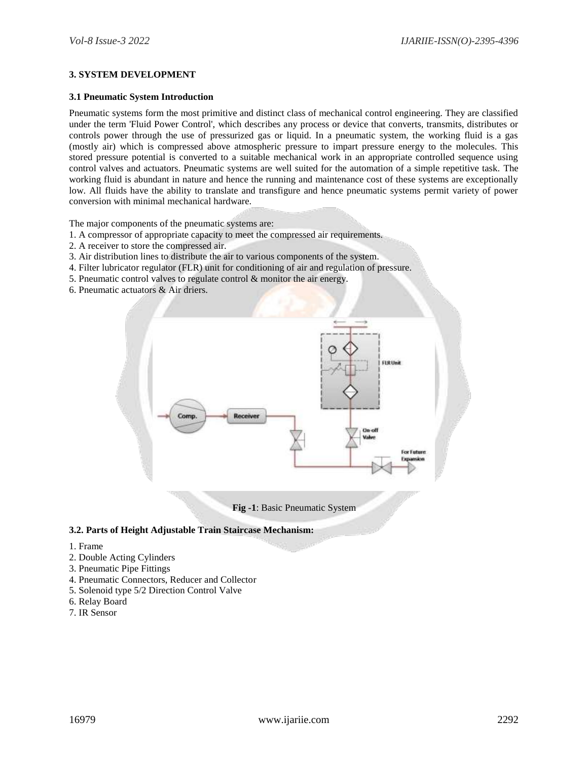# **3. SYSTEM DEVELOPMENT**

#### **3.1 Pneumatic System Introduction**

Pneumatic systems form the most primitive and distinct class of mechanical control engineering. They are classified under the term 'Fluid Power Control', which describes any process or device that converts, transmits, distributes or controls power through the use of pressurized gas or liquid. In a pneumatic system, the working fluid is a gas (mostly air) which is compressed above atmospheric pressure to impart pressure energy to the molecules. This stored pressure potential is converted to a suitable mechanical work in an appropriate controlled sequence using control valves and actuators. Pneumatic systems are well suited for the automation of a simple repetitive task. The working fluid is abundant in nature and hence the running and maintenance cost of these systems are exceptionally low. All fluids have the ability to translate and transfigure and hence pneumatic systems permit variety of power conversion with minimal mechanical hardware.

The major components of the pneumatic systems are:

- 1. A compressor of appropriate capacity to meet the compressed air requirements.
- 2. A receiver to store the compressed air.
- 3. Air distribution lines to distribute the air to various components of the system.
- 4. Filter lubricator regulator (FLR) unit for conditioning of air and regulation of pressure.
- 5. Pneumatic control valves to regulate control & monitor the air energy.
- 6. Pneumatic actuators & Air driers.



**Fig -1**: Basic Pneumatic System

## **3.2. Parts of Height Adjustable Train Staircase Mechanism:**

- 1. Frame
- 2. Double Acting Cylinders
- 3. Pneumatic Pipe Fittings
- 4. Pneumatic Connectors, Reducer and Collector
- 5. Solenoid type 5/2 Direction Control Valve
- 6. Relay Board
- 7. IR Sensor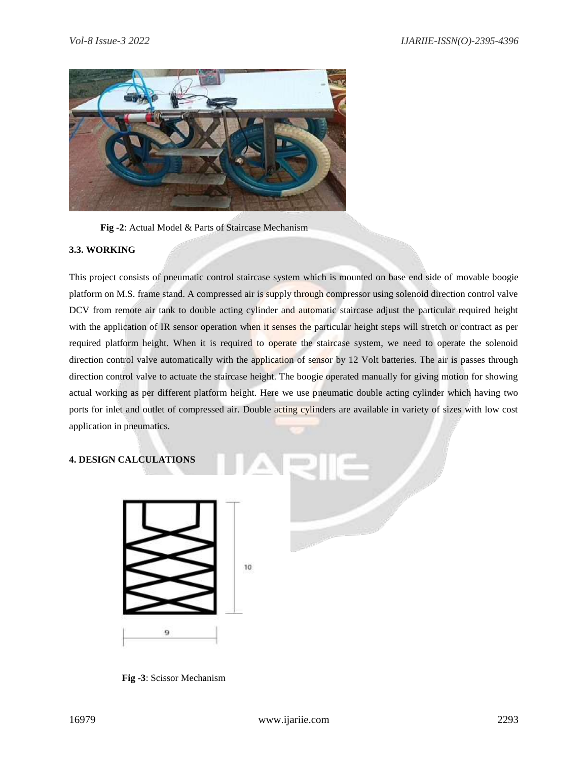

**Fig -2**: Actual Model & Parts of Staircase Mechanism

## **3.3. WORKING**

This project consists of pneumatic control staircase system which is mounted on base end side of movable boogie platform on M.S. frame stand. A compressed air is supply through compressor using solenoid direction control valve DCV from remote air tank to double acting cylinder and automatic staircase adjust the particular required height with the application of IR sensor operation when it senses the particular height steps will stretch or contract as per required platform height. When it is required to operate the staircase system, we need to operate the solenoid direction control valve automatically with the application of sensor by 12 Volt batteries. The air is passes through direction control valve to actuate the staircase height. The boogie operated manually for giving motion for showing actual working as per different platform height. Here we use pneumatic double acting cylinder which having two ports for inlet and outlet of compressed air. Double acting cylinders are available in variety of sizes with low cost application in pneumatics.

# **4. DESIGN CALCULATIONS**



**Fig -3**: Scissor Mechanism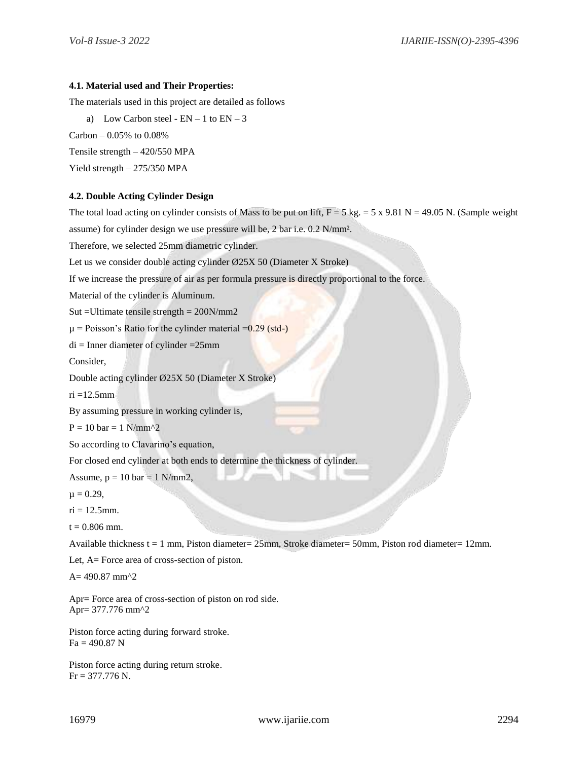#### **4.1. Material used and Their Properties:**

The materials used in this project are detailed as follows

a) Low Carbon steel -  $EN - 1$  to  $EN - 3$ Carbon –  $0.05\%$  to  $0.08\%$ Tensile strength – 420/550 MPA Yield strength – 275/350 MPA

## **4.2. Double Acting Cylinder Design**

The total load acting on cylinder consists of Mass to be put on lift,  $F = 5$  kg.  $= 5 \times 9.81$  N = 49.05 N. (Sample weight assume) for cylinder design we use pressure will be, 2 bar i.e. 0.2 N/mm². Therefore, we selected 25mm diametric cylinder. Let us we consider double acting cylinder Ø25X 50 (Diameter X Stroke) If we increase the pressure of air as per formula pressure is directly proportional to the force. Material of the cylinder is Aluminum. Sut =Ultimate tensile strength = 200N/mm2  $\mu$  = Poisson's Ratio for the cylinder material = 0.29 (std-)  $di =$ Inner diameter of cylinder = 25mm Consider, Double acting cylinder Ø25X 50 (Diameter X Stroke) ri =12.5mm By assuming pressure in working cylinder is,  $P = 10$  bar = 1 N/mm^2 So according to Clavarino's equation, For closed end cylinder at both ends to determine the thickness of cylinder. Assume,  $p = 10$  bar = 1 N/mm2,  $\mu = 0.29$ ,  $ri = 12.5$ mm.  $t = 0.806$  mm. Available thickness t = 1 mm, Piston diameter= 25mm, Stroke diameter= 50mm, Piston rod diameter= 12mm. Let, A= Force area of cross-section of piston.  $A= 490.87$  mm<sup> $2$ </sup> Apr= Force area of cross-section of piston on rod side.

Apr= 377.776 mm^2

Piston force acting during forward stroke.  $Fa = 490.87 N$ 

Piston force acting during return stroke. Fr = 377.776 N.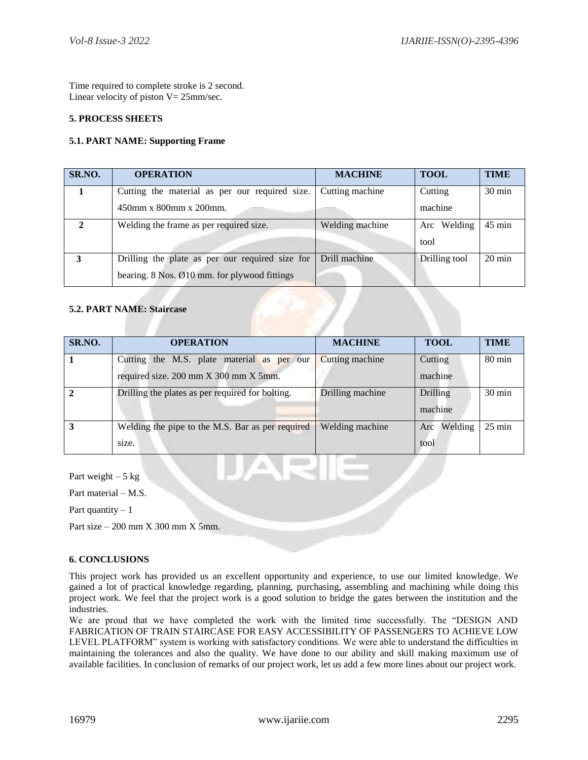Time required to complete stroke is 2 second. Linear velocity of piston  $V = 25$ mm/sec.

## **5. PROCESS SHEETS**

## **5.1. PART NAME: Supporting Frame**

| SR.NO.                | <b>OPERATION</b>                                          | <b>MACHINE</b>  | <b>TOOL</b>   | <b>TIME</b>      |
|-----------------------|-----------------------------------------------------------|-----------------|---------------|------------------|
|                       | Cutting the material as per our required size.            | Cutting machine | Cutting       | $30 \text{ min}$ |
|                       | 450mm x 800mm x 200mm.                                    |                 | machine       |                  |
| $\mathcal{D}_{\cdot}$ | Welding the frame as per required size.                   | Welding machine | Arc Welding   | $45 \text{ min}$ |
|                       |                                                           |                 | tool          |                  |
| 3                     | Drilling the plate as per our required size for           | Drill machine   | Drilling tool | $20 \text{ min}$ |
|                       | bearing. $8$ Nos. $\emptyset$ 10 mm. for plywood fittings |                 |               |                  |

# **5.2. PART NAME: Staircase**

| SR.NO. | <b>OPERATION</b>                                 | <b>MACHINE</b>   | <b>TOOL</b>     | <b>TIME</b>      |
|--------|--------------------------------------------------|------------------|-----------------|------------------|
|        | Cutting the M.S. plate material as per our       | Cutting machine  | Cutting         | $80 \text{ min}$ |
|        | required size. 200 mm X 300 mm X 5mm.            |                  | machine         |                  |
|        | Drilling the plates as per required for bolting. | Drilling machine | <b>Drilling</b> | $30 \text{ min}$ |
|        |                                                  |                  | machine         |                  |
|        | Welding the pipe to the M.S. Bar as per required | Welding machine  | Welding<br>Arc  | $25 \text{ min}$ |
|        | size.                                            |                  | tool            |                  |

Part weight  $-5$  kg

Part material – M.S.

Part quantity  $-1$ 

Part size  $-200$  mm X 300 mm X 5mm.

# **6. CONCLUSIONS**

This project work has provided us an excellent opportunity and experience, to use our limited knowledge. We gained a lot of practical knowledge regarding, planning, purchasing, assembling and machining while doing this project work. We feel that the project work is a good solution to bridge the gates between the institution and the industries.

We are proud that we have completed the work with the limited time successfully. The "DESIGN AND FABRICATION OF TRAIN STAIRCASE FOR EASY ACCESSIBILITY OF PASSENGERS TO ACHIEVE LOW LEVEL PLATFORM" system is working with satisfactory conditions. We were able to understand the difficulties in maintaining the tolerances and also the quality. We have done to our ability and skill making maximum use of available facilities. In conclusion of remarks of our project work, let us add a few more lines about our project work.